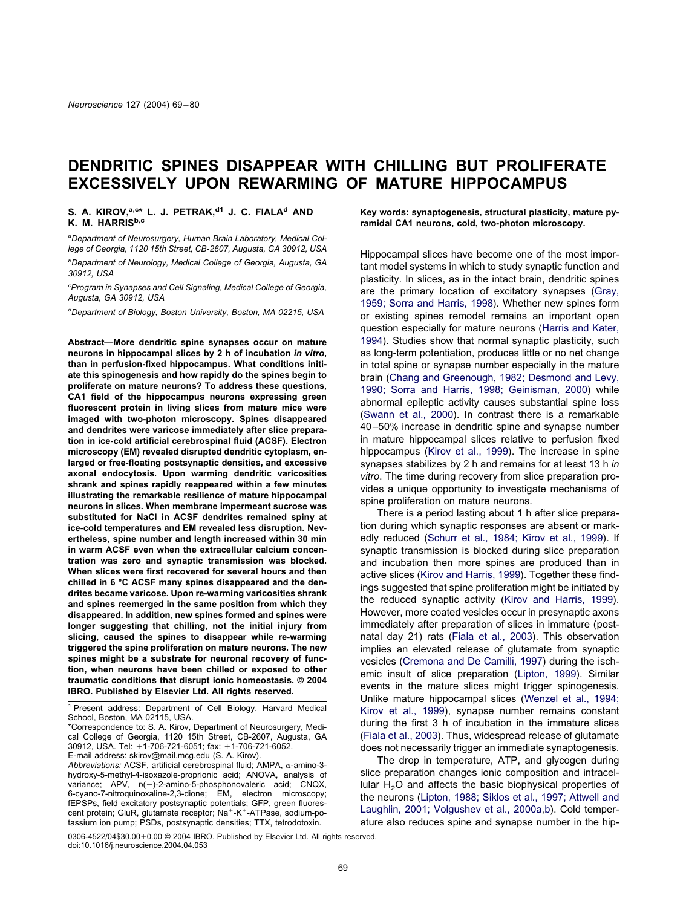# **DENDRITIC SPINES DISAPPEAR WITH CHILLING BUT PROLIFERATE EXCESSIVELY UPON REWARMING OF MATURE HIPPOCAMPUS**

# S. A. KIROV,<sup>a,c\*</sup> L. J. PETRAK,<sup>d1</sup> J. C. FIALA<sup>d</sup> AND **K. M. HARRISb,c**

*a Department of Neurosurgery, Human Brain Laboratory, Medical College of Georgia, 1120 15th Street, CB-2607, Augusta, GA 30912, USA*

*b Department of Neurology, Medical College of Georgia, Augusta, GA 30912, USA*

*c Program in Synapses and Cell Signaling, Medical College of Georgia, Augusta, GA 30912, USA*

*d Department of Biology, Boston University, Boston, MA 02215, USA*

**Abstract—More dendritic spine synapses occur on mature neurons in hippocampal slices by 2 h of incubation** *in vitro***, than in perfusion-fixed hippocampus. What conditions initiate this spinogenesis and how rapidly do the spines begin to proliferate on mature neurons? To address these questions, CA1 field of the hippocampus neurons expressing green fluorescent protein in living slices from mature mice were imaged with two-photon microscopy. Spines disappeared and dendrites were varicose immediately after slice preparation in ice-cold artificial cerebrospinal fluid (ACSF). Electron microscopy (EM) revealed disrupted dendritic cytoplasm, enlarged or free-floating postsynaptic densities, and excessive axonal endocytosis. Upon warming dendritic varicosities shrank and spines rapidly reappeared within a few minutes illustrating the remarkable resilience of mature hippocampal neurons in slices. When membrane impermeant sucrose was substituted for NaCl in ACSF dendrites remained spiny at ice-cold temperatures and EM revealed less disruption. Nevertheless, spine number and length increased within 30 min in warm ACSF even when the extracellular calcium concentration was zero and synaptic transmission was blocked. When slices were first recovered for several hours and then chilled in 6 °C ACSF many spines disappeared and the dendrites became varicose. Upon re-warming varicosities shrank and spines reemerged in the same position from which they disappeared. In addition, new spines formed and spines were longer suggesting that chilling, not the initial injury from slicing, caused the spines to disappear while re-warming triggered the spine proliferation on mature neurons. The new spines might be a substrate for neuronal recovery of function, when neurons have been chilled or exposed to other traumatic conditions that disrupt ionic homeostasis. © 2004 IBRO. Published by Elsevier Ltd. All rights reserved.**

\*Correspondence to: S. A. Kirov, Department of Neurosurgery, Medical College of Georgia, 1120 15th Street, CB-2607, Augusta, GA 30912, USA. Tel: +1-706-721-6051; fax: +1-706-721-6052.

E-mail address: skirov@mail.mcg.edu (S. A. Kirov).

**Key words: synaptogenesis, structural plasticity, mature pyramidal CA1 neurons, cold, two-photon microscopy.**

Hippocampal slices have become one of the most important model systems in which to study synaptic function and plasticity. In slices, as in the intact brain, dendritic spines are the primary location of excitatory synapses [\(Gray,](#page-10-0) [1959; Sorra and Harris, 1998\)](#page-10-0). Whether new spines form or existing spines remodel remains an important open question especially for mature neurons [\(Harris and Kater,](#page-10-0) [1994\)](#page-10-0). Studies show that normal synaptic plasticity, such as long-term potentiation, produces little or no net change in total spine or synapse number especially in the mature brain [\(Chang and Greenough, 1982; Desmond and Levy,](#page-10-0) [1990; Sorra and Harris, 1998; Geinisman, 2000\)](#page-10-0) while abnormal epileptic activity causes substantial spine loss [\(Swann et al., 2000\)](#page-11-0). In contrast there is a remarkable 40–50% increase in dendritic spine and synapse number in mature hippocampal slices relative to perfusion fixed hippocampus [\(Kirov et al., 1999\)](#page-10-0). The increase in spine synapses stabilizes by 2 h and remains for at least 13 h *in vitro*. The time during recovery from slice preparation provides a unique opportunity to investigate mechanisms of spine proliferation on mature neurons.

There is a period lasting about 1 h after slice preparation during which synaptic responses are absent or markedly reduced [\(Schurr et al., 1984; Kirov et al., 1999\)](#page-10-0). If synaptic transmission is blocked during slice preparation and incubation then more spines are produced than in active slices [\(Kirov and Harris, 1999\)](#page-10-0). Together these findings suggested that spine proliferation might be initiated by the reduced synaptic activity [\(Kirov and Harris, 1999\)](#page-10-0). However, more coated vesicles occur in presynaptic axons immediately after preparation of slices in immature (postnatal day 21) rats [\(Fiala et al., 2003\)](#page-10-0). This observation implies an elevated release of glutamate from synaptic vesicles [\(Cremona and De Camilli, 1997\)](#page-10-0) during the ischemic insult of slice preparation [\(Lipton, 1999\)](#page-10-0). Similar events in the mature slices might trigger spinogenesis. Unlike mature hippocampal slices [\(Wenzel et al., 1994;](#page-11-0) [Kirov et al., 1999\)](#page-11-0), synapse number remains constant during the first 3 h of incubation in the immature slices [\(Fiala et al., 2003\)](#page-10-0). Thus, widespread release of glutamate does not necessarily trigger an immediate synaptogenesis.

The drop in temperature, ATP, and glycogen during slice preparation changes ionic composition and intracellular  $H<sub>2</sub>O$  and affects the basic biophysical properties of the neurons [\(Lipton, 1988; Siklos et al., 1997; Attwell and](#page-10-0) [Laughlin, 2001; Volgushev et al., 2000a,](#page-10-0)[b\)](#page-11-0). Cold temperature also reduces spine and synapse number in the hip-

 $0306 - 4522/04$30.00 + 0.00  $\circledcirc$  2004 IBRO. Published by Elsevier Ltd. All rights reserved.$ doi:10.1016/j.neuroscience.2004.04.053

<sup>1</sup> Present address: Department of Cell Biology, Harvard Medical School, Boston, MA 02115, USA.

Abbreviations: ACSF, artificial cerebrospinal fluid; AMPA, α-amino-3hydroxy-5-methyl-4-isoxazole-proprionic acid; ANOVA, analysis of variance; APV, D(-)-2-amino-5-phosphonovaleric acid; CNQX, 6-cyano-7-nitroquinoxaline-2,3-dione; EM, electron microscopy; fEPSPs, field excitatory postsynaptic potentials; GFP, green fluorescent protein; GluR, glutamate receptor; Na<sup>+</sup>-K<sup>+</sup>-ATPase, sodium-potassium ion pump; PSDs, postsynaptic densities; TTX, tetrodotoxin.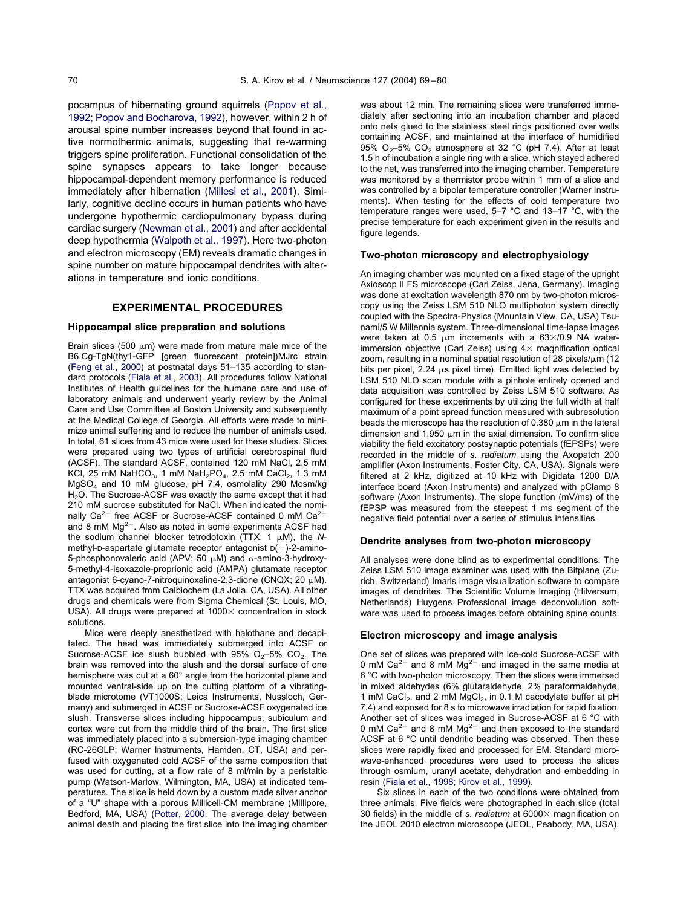pocampus of hibernating ground squirrels [\(Popov et al.,](#page-10-0) [1992; Popov and Bocharova, 1992\)](#page-10-0), however, within 2 h of arousal spine number increases beyond that found in active normothermic animals, suggesting that re-warming triggers spine proliferation. Functional consolidation of the spine synapses appears to take longer because hippocampal-dependent memory performance is reduced immediately after hibernation [\(Millesi et al., 2001\)](#page-10-0). Similarly, cognitive decline occurs in human patients who have undergone hypothermic cardiopulmonary bypass during cardiac surgery [\(Newman et al., 2001\)](#page-10-0) and after accidental deep hypothermia [\(Walpoth et al., 1997\)](#page-11-0). Here two-photon and electron microscopy (EM) reveals dramatic changes in spine number on mature hippocampal dendrites with alterations in temperature and ionic conditions.

# **EXPERIMENTAL PROCEDURES**

#### **Hippocampal slice preparation and solutions**

Brain slices (500  $\mu$ m) were made from mature male mice of the B6.Cg-TgN(thy1-GFP [green fluorescent protein])MJrc strain [\(Feng et al., 2000\)](#page-10-0) at postnatal days 51–135 according to standard protocols [\(Fiala et al., 2003\)](#page-10-0). All procedures follow National Institutes of Health guidelines for the humane care and use of laboratory animals and underwent yearly review by the Animal Care and Use Committee at Boston University and subsequently at the Medical College of Georgia. All efforts were made to minimize animal suffering and to reduce the number of animals used. In total, 61 slices from 43 mice were used for these studies. Slices were prepared using two types of artificial cerebrospinal fluid (ACSF). The standard ACSF, contained 120 mM NaCl, 2.5 mM KCl, 25 mM NaHCO<sub>3</sub>, 1 mM NaH<sub>2</sub>PO<sub>4</sub>, 2.5 mM CaCl<sub>2</sub>, 1.3 mM MgSO4 and 10 mM glucose, pH 7.4, osmolality 290 Mosm/kg H<sub>2</sub>O. The Sucrose-ACSF was exactly the same except that it had 210 mM sucrose substituted for NaCl. When indicated the nominally  $Ca^{2+}$  free ACSF or Sucrose-ACSF contained 0 mM  $Ca^{2+}$ and 8 mM  $Mg^{2+}$ . Also as noted in some experiments ACSF had the sodium channel blocker tetrodotoxin (TTX; 1  $\mu$ M), the *N*methyl-D-aspartate glutamate receptor antagonist  $D(-)$ -2-amino-5-phosphonovaleric acid (APV; 50  $\mu$ M) and  $\alpha$ -amino-3-hydroxy-5-methyl-4-isoxazole-proprionic acid (AMPA) glutamate receptor antagonist 6-cyano-7-nitroquinoxaline-2,3-dione (CNQX; 20  $\mu$ M). TTX was acquired from Calbiochem (La Jolla, CA, USA). All other drugs and chemicals were from Sigma Chemical (St. Louis, MO, USA). All drugs were prepared at  $1000 \times$  concentration in stock solutions.

Mice were deeply anesthetized with halothane and decapitated. The head was immediately submerged into ACSF or Sucrose-ACSF ice slush bubbled with  $95\%$  O<sub>2</sub>–5% CO<sub>2</sub>. The brain was removed into the slush and the dorsal surface of one hemisphere was cut at a 60° angle from the horizontal plane and mounted ventral-side up on the cutting platform of a vibratingblade microtome (VT1000S; Leica Instruments, Nussloch, Germany) and submerged in ACSF or Sucrose-ACSF oxygenated ice slush. Transverse slices including hippocampus, subiculum and cortex were cut from the middle third of the brain. The first slice was immediately placed into a submersion-type imaging chamber (RC-26GLP; Warner Instruments, Hamden, CT, USA) and perfused with oxygenated cold ACSF of the same composition that was used for cutting, at a flow rate of 8 ml/min by a peristaltic pump (Watson-Marlow, Wilmington, MA, USA) at indicated temperatures. The slice is held down by a custom made silver anchor of a "U" shape with a porous Millicell-CM membrane (Millipore, Bedford, MA, USA) [\(Potter, 2000.](#page-10-0) The average delay between animal death and placing the first slice into the imaging chamber was about 12 min. The remaining slices were transferred immediately after sectioning into an incubation chamber and placed onto nets glued to the stainless steel rings positioned over wells containing ACSF, and maintained at the interface of humidified 95% O<sub>2</sub>–5% CO<sub>2</sub> atmosphere at 32 °C (pH 7.4). After at least 1.5 h of incubation a single ring with a slice, which stayed adhered to the net, was transferred into the imaging chamber. Temperature was monitored by a thermistor probe within 1 mm of a slice and was controlled by a bipolar temperature controller (Warner Instruments). When testing for the effects of cold temperature two temperature ranges were used, 5–7 °C and 13–17 °C, with the precise temperature for each experiment given in the results and figure legends.

# **Two-photon microscopy and electrophysiology**

An imaging chamber was mounted on a fixed stage of the upright Axioscop II FS microscope (Carl Zeiss, Jena, Germany). Imaging was done at excitation wavelength 870 nm by two-photon microscopy using the Zeiss LSM 510 NLO multiphoton system directly coupled with the Spectra-Physics (Mountain View, CA, USA) Tsunami/5 W Millennia system. Three-dimensional time-lapse images were taken at 0.5  $\mu$ m increments with a 63 $\times$ /0.9 NA waterimmersion objective (Carl Zeiss) using  $4\times$  magnification optical zoom, resulting in a nominal spatial resolution of 28 pixels/ $\mu$ m (12 bits per pixel,  $2.24 \mu s$  pixel time). Emitted light was detected by LSM 510 NLO scan module with a pinhole entirely opened and data acquisition was controlled by Zeiss LSM 510 software. As configured for these experiments by utilizing the full width at half maximum of a point spread function measured with subresolution beads the microscope has the resolution of 0.380  $\mu$ m in the lateral dimension and 1.950  $\mu$ m in the axial dimension. To confirm slice viability the field excitatory postsynaptic potentials (fEPSPs) were recorded in the middle of *s. radiatum* using the Axopatch 200 amplifier (Axon Instruments, Foster City, CA, USA). Signals were filtered at 2 kHz, digitized at 10 kHz with Digidata 1200 D/A interface board (Axon Instruments) and analyzed with pClamp 8 software (Axon Instruments). The slope function (mV/ms) of the fEPSP was measured from the steepest 1 ms segment of the negative field potential over a series of stimulus intensities.

#### **Dendrite analyses from two-photon microscopy**

All analyses were done blind as to experimental conditions. The Zeiss LSM 510 image examiner was used with the Bitplane (Zurich, Switzerland) Imaris image visualization software to compare images of dendrites. The Scientific Volume Imaging (Hilversum, Netherlands) Huygens Professional image deconvolution software was used to process images before obtaining spine counts.

#### **Electron microscopy and image analysis**

One set of slices was prepared with ice-cold Sucrose-ACSF with 0 mM Ca<sup>2+</sup> and 8 mM  $Mq^{2+}$  and imaged in the same media at 6 °C with two-photon microscopy. Then the slices were immersed in mixed aldehydes (6% glutaraldehyde, 2% paraformaldehyde, 1 mM CaCl<sub>2</sub>, and 2 mM MgCl<sub>2</sub>, in 0.1 M cacodylate buffer at pH 7.4) and exposed for 8 s to microwave irradiation for rapid fixation. Another set of slices was imaged in Sucrose-ACSF at 6 °C with 0 mM Ca<sup>2+</sup> and 8 mM Mg<sup>2+</sup> and then exposed to the standard ACSF at 6 °C until dendritic beading was observed. Then these slices were rapidly fixed and processed for EM. Standard microwave-enhanced procedures were used to process the slices through osmium, uranyl acetate, dehydration and embedding in resin [\(Fiala et al., 1998; Kirov et al., 1999\)](#page-10-0).

Six slices in each of the two conditions were obtained from three animals. Five fields were photographed in each slice (total 30 fields) in the middle of *s. radiatum* at 6000 magnification on the JEOL 2010 electron microscope (JEOL, Peabody, MA, USA).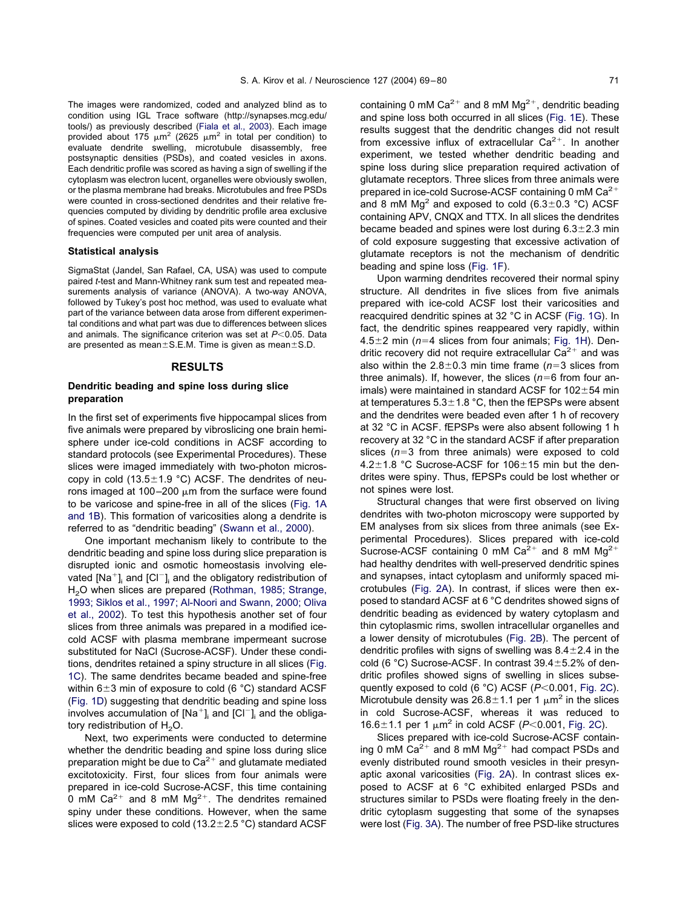The images were randomized, coded and analyzed blind as to condition using IGL Trace software (http://synapses.mcg.edu/ tools/) as previously described [\(Fiala et al., 2003\)](#page-10-0). Each image provided about 175  $\mu$ m<sup>2</sup> (2625  $\mu$ m<sup>2</sup> in total per condition) to evaluate dendrite swelling, microtubule disassembly, free postsynaptic densities (PSDs), and coated vesicles in axons. Each dendritic profile was scored as having a sign of swelling if the cytoplasm was electron lucent, organelles were obviously swollen, or the plasma membrane had breaks. Microtubules and free PSDs were counted in cross-sectioned dendrites and their relative frequencies computed by dividing by dendritic profile area exclusive of spines. Coated vesicles and coated pits were counted and their frequencies were computed per unit area of analysis.

### **Statistical analysis**

SigmaStat (Jandel, San Rafael, CA, USA) was used to compute paired *t*-test and Mann-Whitney rank sum test and repeated measurements analysis of variance (ANOVA). A two-way ANOVA, followed by Tukey's post hoc method, was used to evaluate what part of the variance between data arose from different experimental conditions and what part was due to differences between slices and animals. The significance criterion was set at  $P<0.05$ . Data are presented as mean $\pm$ S.E.M. Time is given as mean $\pm$ S.D.

#### **RESULTS**

# **Dendritic beading and spine loss during slice preparation**

In the first set of experiments five hippocampal slices from five animals were prepared by vibroslicing one brain hemisphere under ice-cold conditions in ACSF according to standard protocols (see Experimental Procedures). These slices were imaged immediately with two-photon microscopy in cold (13.5 $\pm$ 1.9 °C) ACSF. The dendrites of neurons imaged at 100–200  $\mu$ m from the surface were found to be varicose and spine-free in all of the slices (Fig. 1A and 1B). This formation of varicosities along a dendrite is referred to as "dendritic beading" [\(Swann et al., 2000\)](#page-11-0).

One important mechanism likely to contribute to the dendritic beading and spine loss during slice preparation is disrupted ionic and osmotic homeostasis involving elevated  $[Na^+]$ <sub>i</sub> and  $[Cl^-]$ <sub>i</sub> and the obligatory redistribution of H<sub>2</sub>O when slices are prepared [\(Rothman, 1985; Strange,](#page-10-0) [1993; Siklos et al., 1997; Al-Noori and Swann, 2000; Oliva](#page-10-0) [et al., 2002\)](#page-10-0). To test this hypothesis another set of four slices from three animals was prepared in a modified icecold ACSF with plasma membrane impermeant sucrose substituted for NaCl (Sucrose-ACSF). Under these conditions, dendrites retained a spiny structure in all slices (Fig. 1C). The same dendrites became beaded and spine-free within  $6\pm3$  min of exposure to cold (6 °C) standard ACSF (Fig. 1D) suggesting that dendritic beading and spine loss involves accumulation of  $[Na^+]$  and  $[Cl^-]$  and the obligatory redistribution of  $H_2O$ .

Next, two experiments were conducted to determine whether the dendritic beading and spine loss during slice preparation might be due to  $Ca^{2+}$  and glutamate mediated excitotoxicity. First, four slices from four animals were prepared in ice-cold Sucrose-ACSF, this time containing 0 mM Ca<sup>2+</sup> and 8 mM Mg<sup>2+</sup>. The dendrites remained spiny under these conditions. However, when the same slices were exposed to cold (13.2 $\pm$ 2.5 °C) standard ACSF

containing 0 mM  $Ca^{2+}$  and 8 mM Mg<sup>2+</sup>, dendritic beading and spine loss both occurred in all slices (Fig. 1E). These results suggest that the dendritic changes did not result from excessive influx of extracellular  $Ca^{2+}$ . In another experiment, we tested whether dendritic beading and spine loss during slice preparation required activation of glutamate receptors. Three slices from three animals were prepared in ice-cold Sucrose-ACSF containing  $0 \text{ mM } Ca^{2+}$ and 8 mM  $Mg<sup>2</sup>$  and exposed to cold (6.3 $\pm$ 0.3 °C) ACSF containing APV, CNQX and TTX. In all slices the dendrites became beaded and spines were lost during  $6.3 \pm 2.3$  min of cold exposure suggesting that excessive activation of glutamate receptors is not the mechanism of dendritic beading and spine loss (Fig. 1F).

Upon warming dendrites recovered their normal spiny structure. All dendrites in five slices from five animals prepared with ice-cold ACSF lost their varicosities and reacquired dendritic spines at 32 °C in ACSF (Fig. 1G). In fact, the dendritic spines reappeared very rapidly, within  $4.5\pm2$  min ( $n=4$  slices from four animals; Fig. 1H). Dendritic recovery did not require extracellular  $Ca^{2+}$  and was also within the  $2.8\pm0.3$  min time frame ( $n=3$  slices from three animals). If, however, the slices  $(n=6$  from four animals) were maintained in standard ACSF for  $102\pm54$  min at temperatures  $5.3 \pm 1.8$  °C, then the fEPSPs were absent and the dendrites were beaded even after 1 h of recovery at 32 °C in ACSF. fEPSPs were also absent following 1 h recovery at 32 °C in the standard ACSF if after preparation slices  $(n=3$  from three animals) were exposed to cold 4.2 $\pm$ 1.8 °C Sucrose-ACSF for 106 $\pm$ 15 min but the dendrites were spiny. Thus, fEPSPs could be lost whether or not spines were lost.

Structural changes that were first observed on living dendrites with two-photon microscopy were supported by EM analyses from six slices from three animals (see Experimental Procedures). Slices prepared with ice-cold Sucrose-ACSF containing 0 mM Ca<sup>2+</sup> and 8 mM Mg<sup>2+</sup> had healthy dendrites with well-preserved dendritic spines and synapses, intact cytoplasm and uniformly spaced microtubules [\(Fig. 2A\)](#page-4-0). In contrast, if slices were then exposed to standard ACSF at 6 °C dendrites showed signs of dendritic beading as evidenced by watery cytoplasm and thin cytoplasmic rims, swollen intracellular organelles and a lower density of microtubules [\(Fig. 2B\)](#page-4-0). The percent of dendritic profiles with signs of swelling was  $8.4 \pm 2.4$  in the cold (6 °C) Sucrose-ACSF. In contrast  $39.4 \pm 5.2$ % of dendritic profiles showed signs of swelling in slices subse-quently exposed to cold (6 °C) ACSF (P<0.001, [Fig. 2C\)](#page-4-0). Microtubule density was  $26.8 \pm 1.1$  per 1  $\mu$ m<sup>2</sup> in the slices in cold Sucrose-ACSF, whereas it was reduced to 16.6 $\pm$ 1.1 per 1  $\mu$ m<sup>2</sup> in cold ACSF (*P*<0.001, [Fig. 2C\)](#page-4-0).

Slices prepared with ice-cold Sucrose-ACSF containing 0 mM  $Ca^{2+}$  and 8 mM  $Mg^{2+}$  had compact PSDs and evenly distributed round smooth vesicles in their presynaptic axonal varicosities [\(Fig. 2A\)](#page-4-0). In contrast slices exposed to ACSF at 6 °C exhibited enlarged PSDs and structures similar to PSDs were floating freely in the dendritic cytoplasm suggesting that some of the synapses were lost [\(Fig. 3A\)](#page-5-0). The number of free PSD-like structures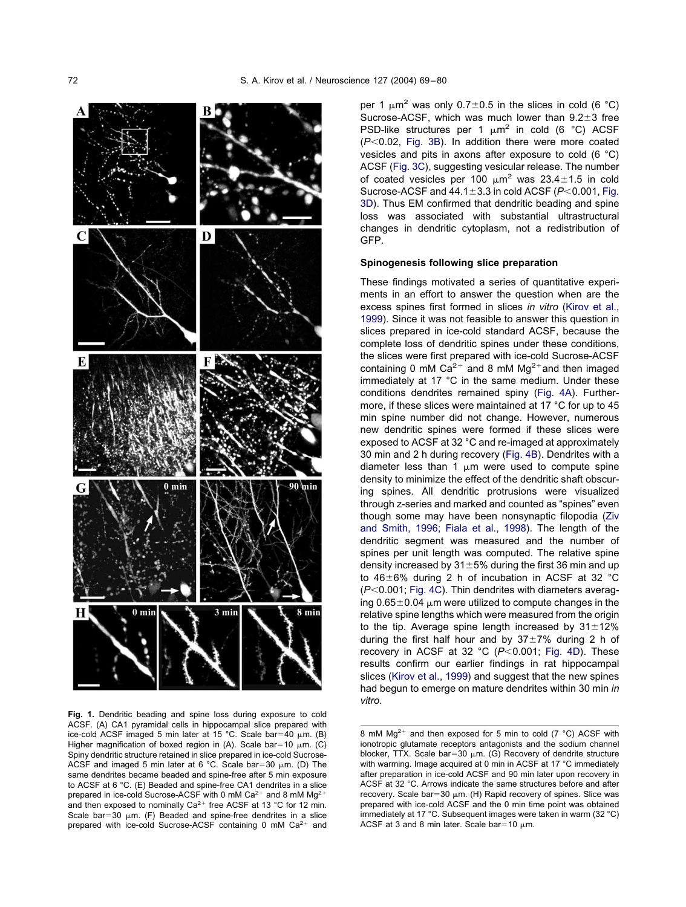

**Fig. 1.** Dendritic beading and spine loss during exposure to cold ACSF. (A) CA1 pyramidal cells in hippocampal slice prepared with ice-cold ACSF imaged 5 min later at 15 °C. Scale bar=40  $\mu$ m. (B) Higher magnification of boxed region in (A). Scale bar=10  $\mu$ m. (C) Spiny dendritic structure retained in slice prepared in ice-cold Sucrose-ACSF and imaged 5 min later at 6 °C. Scale bar=30  $\mu$ m. (D) The same dendrites became beaded and spine-free after 5 min exposure to ACSF at 6 °C. (E) Beaded and spine-free CA1 dendrites in a slice prepared in ice-cold Sucrose-ACSF with 0 mM Ca<sup>2+</sup> and 8 mM Ma<sup>2+</sup> and then exposed to nominally  $Ca^{2+}$  free ACSF at 13 °C for 12 min. Scale bar=30  $\mu$ m. (F) Beaded and spine-free dendrites in a slice prepared with ice-cold Sucrose-ACSF containing  $0 \text{ mM } Ca^{2+}$  and

per 1  $\mu$ m<sup>2</sup> was only 0.7 $\pm$ 0.5 in the slices in cold (6 °C) Sucrose-ACSF, which was much lower than  $9.2\pm3$  free PSD-like structures per 1  $\mu$ m<sup>2</sup> in cold (6 °C) ACSF  $(P<0.02$ , [Fig. 3B\)](#page-5-0). In addition there were more coated vesicles and pits in axons after exposure to cold (6 °C) ACSF [\(Fig. 3C\)](#page-5-0), suggesting vesicular release. The number of coated vesicles per 100  $\mu$ m<sup>2</sup> was 23.4 $\pm$ 1.5 in cold Sucrose-ACSF and  $44.1 \pm 3.3$  in cold ACSF ( $P < 0.001$ , [Fig.](#page-5-0) [3D\)](#page-5-0). Thus EM confirmed that dendritic beading and spine loss was associated with substantial ultrastructural changes in dendritic cytoplasm, not a redistribution of GFP.

# **Spinogenesis following slice preparation**

These findings motivated a series of quantitative experiments in an effort to answer the question when are the excess spines first formed in slices *in vitro* [\(Kirov et al.,](#page-10-0) [1999\)](#page-10-0). Since it was not feasible to answer this question in slices prepared in ice-cold standard ACSF, because the complete loss of dendritic spines under these conditions, the slices were first prepared with ice-cold Sucrose-ACSF containing 0 mM  $Ca^{2+}$  and 8 mM  $Mg^{2+}$  and then imaged immediately at 17 °C in the same medium. Under these conditions dendrites remained spiny [\(Fig. 4A\)](#page-6-0). Furthermore, if these slices were maintained at 17 °C for up to 45 min spine number did not change. However, numerous new dendritic spines were formed if these slices were exposed to ACSF at 32 °C and re-imaged at approximately 30 min and 2 h during recovery [\(Fig. 4B\)](#page-6-0). Dendrites with a diameter less than 1  $\mu$ m were used to compute spine density to minimize the effect of the dendritic shaft obscuring spines. All dendritic protrusions were visualized through z-series and marked and counted as "spines" even though some may have been nonsynaptic filopodia [\(Ziv](#page-11-0) [and Smith, 1996; Fiala et al., 1998\)](#page-11-0). The length of the dendritic segment was measured and the number of spines per unit length was computed. The relative spine density increased by  $31\pm5%$  during the first 36 min and up to  $46\pm6\%$  during 2 h of incubation in ACSF at 32 °C ( $P$ <0.001; [Fig. 4C\)](#page-6-0). Thin dendrites with diameters averaging  $0.65\pm0.04$  µm were utilized to compute changes in the relative spine lengths which were measured from the origin to the tip. Average spine length increased by  $31 \pm 12\%$ during the first half hour and by  $37\pm7\%$  during 2 h of recovery in ACSF at 32 °C ( $P<0.001$ ; [Fig. 4D\)](#page-6-0). These results confirm our earlier findings in rat hippocampal slices [\(Kirov et al., 1999\)](#page-10-0) and suggest that the new spines had begun to emerge on mature dendrites within 30 min *in vitro*.

<sup>8</sup> mM  $Mq^{2+}$  and then exposed for 5 min to cold (7 °C) ACSF with ionotropic glutamate receptors antagonists and the sodium channel blocker, TTX. Scale bar=30  $\mu$ m. (G) Recovery of dendrite structure with warming. Image acquired at 0 min in ACSF at 17 °C immediately after preparation in ice-cold ACSF and 90 min later upon recovery in ACSF at 32 °C. Arrows indicate the same structures before and after recovery. Scale bar=30  $\mu$ m. (H) Rapid recovery of spines. Slice was prepared with ice-cold ACSF and the 0 min time point was obtained immediately at 17 °C. Subsequent images were taken in warm (32 °C) ACSF at 3 and 8 min later. Scale bar=10  $\mu$ m.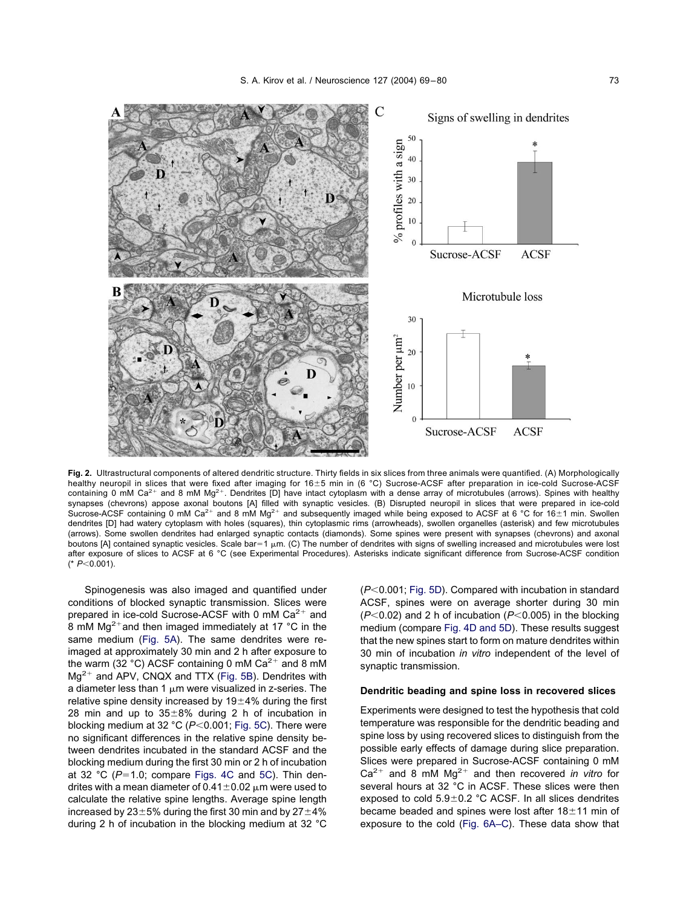<span id="page-4-0"></span>

**Fig. 2.** Ultrastructural components of altered dendritic structure. Thirty fields in six slices from three animals were quantified. (A) Morphologically healthy neuropil in slices that were fixed after imaging for 16±5 min in (6 °C) Sucrose-ACSF after preparation in ice-cold Sucrose-ACSF containing 0 mM Ca<sup>2+</sup> and 8 mM Mg<sup>2+</sup>. Dendrites [D] have intact cytoplasm with a dense array of microtubules (arrows). Spines with healthy synapses (chevrons) appose axonal boutons [A] filled with synaptic vesicles. (B) Disrupted neuropil in slices that were prepared in ice-cold Sucrose-ACSF containing 0 mM Ca<sup>2+</sup> and 8 mM Mg<sup>2+</sup> and subsequently imaged while being exposed to ACSF at 6 °C for 16±1 min. Swollen dendrites [D] had watery cytoplasm with holes (squares), thin cytoplasmic rims (arrowheads), swollen organelles (asterisk) and few microtubules (arrows). Some swollen dendrites had enlarged synaptic contacts (diamonds). Some spines were present with synapses (chevrons) and axonal boutons [A] contained synaptic vesicles. Scale bar=1  $\mu$ m. (C) The number of dendrites with signs of swelling increased and microtubules were lost after exposure of slices to ACSF at 6 °C (see Experimental Procedures). Asterisks indicate significant difference from Sucrose-ACSF condition (\*  $P<0.001$ ).

Spinogenesis was also imaged and quantified under conditions of blocked synaptic transmission. Slices were prepared in ice-cold Sucrose-ACSF with 0 mM  $Ca^{2+}$  and 8 mM  $Mg^{2+}$  and then imaged immediately at 17 °C in the same medium [\(Fig. 5A\)](#page-6-0). The same dendrites were reimaged at approximately 30 min and 2 h after exposure to the warm (32 °C) ACSF containing 0 mM  $Ca^{2+}$  and 8 mM  $Mg^{2+}$  and APV, CNQX and TTX [\(Fig. 5B\)](#page-6-0). Dendrites with a diameter less than 1  $\mu$ m were visualized in z-series. The relative spine density increased by  $19\pm4\%$  during the first 28 min and up to  $35\pm8\%$  during 2 h of incubation in blocking medium at 32 °C (P<0.001; [Fig. 5C\)](#page-6-0). There were no significant differences in the relative spine density between dendrites incubated in the standard ACSF and the blocking medium during the first 30 min or 2 h of incubation at 32 °C ( $P=1.0$ ; compare [Figs. 4C](#page-6-0) and 5C). Thin dendrites with a mean diameter of  $0.41\pm0.02$   $\mu$ m were used to calculate the relative spine lengths. Average spine length increased by  $23\pm5\%$  during the first 30 min and by  $27\pm4\%$ during 2 h of incubation in the blocking medium at 32 °C

( $P$ <0.001; [Fig. 5D\)](#page-6-0). Compared with incubation in standard ACSF, spines were on average shorter during 30 min  $(P<0.02)$  and 2 h of incubation ( $P<0.005$ ) in the blocking medium (compare [Fig. 4D and 5D\)](#page-6-0). These results suggest that the new spines start to form on mature dendrites within 30 min of incubation *in vitro* independent of the level of synaptic transmission.

# **Dendritic beading and spine loss in recovered slices**

Experiments were designed to test the hypothesis that cold temperature was responsible for the dendritic beading and spine loss by using recovered slices to distinguish from the possible early effects of damage during slice preparation. Slices were prepared in Sucrose-ACSF containing 0 mM  $Ca^{2+}$  and 8 mM Mg<sup>2+</sup> and then recovered *in vitro* for several hours at 32 °C in ACSF. These slices were then exposed to cold  $5.9\pm0.2$  °C ACSF. In all slices dendrites became beaded and spines were lost after  $18\pm11$  min of exposure to the cold [\(Fig. 6A–C\)](#page-7-0). These data show that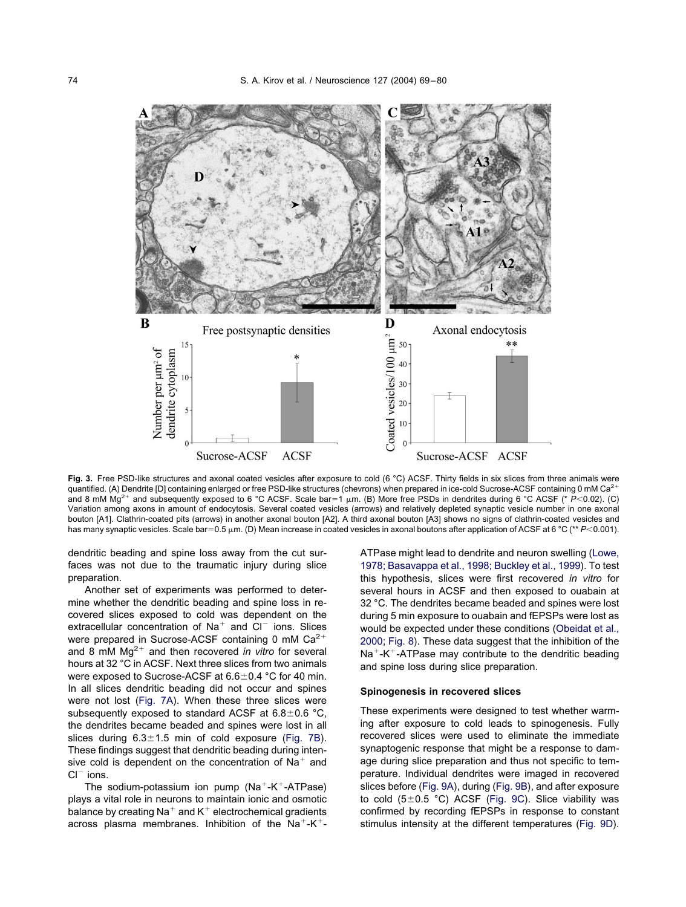<span id="page-5-0"></span>

Fig. 3. Free PSD-like structures and axonal coated vesicles after exposure to cold (6 °C) ACSF. Thirty fields in six slices from three animals were quantified. (A) Dendrite [D] containing enlarged or free PSD-like structures (chevrons) when prepared in ice-cold Sucrose-ACSF containing 0 mM Ca<sup>2+</sup> and 8 mM Mg<sup>2+</sup> and subsequently exposed to 6 °C ACSF. Scale bar=1  $\mu$ m. (B) More free PSDs in dendrites during 6 °C ACSF (\* *P*<0.02). (C) Variation among axons in amount of endocytosis. Several coated vesicles (arrows) and relatively depleted synaptic vesicle number in one axonal bouton [A1]. Clathrin-coated pits (arrows) in another axonal bouton [A2]. A third axonal bouton [A3] shows no signs of clathrin-coated vesicles and has many synaptic vesicles. Scale bar=0.5  $\mu$ m. (D) Mean increase in coated vesicles in axonal boutons after application of ACSF at 6 °C (\*\* *P*<0.001).

dendritic beading and spine loss away from the cut surfaces was not due to the traumatic injury during slice preparation.

Another set of experiments was performed to determine whether the dendritic beading and spine loss in recovered slices exposed to cold was dependent on the extracellular concentration of  $Na<sup>+</sup>$  and  $Cl<sup>-</sup>$  ions. Slices were prepared in Sucrose-ACSF containing 0 mM  $Ca^{2+}$ and 8 mM  $Mg^{2+}$  and then recovered *in vitro* for several hours at 32 °C in ACSF. Next three slices from two animals were exposed to Sucrose-ACSF at  $6.6 \pm 0.4$  °C for 40 min. In all slices dendritic beading did not occur and spines were not lost [\(Fig. 7A\)](#page-7-0). When these three slices were subsequently exposed to standard ACSF at  $6.8 \pm 0.6$  °C, the dendrites became beaded and spines were lost in all slices during  $6.3 \pm 1.5$  min of cold exposure [\(Fig. 7B\)](#page-7-0). These findings suggest that dendritic beading during intensive cold is dependent on the concentration of  $Na<sup>+</sup>$  and  $Cl^-$  ions.

The sodium-potassium ion pump  $(Na^+ - K^+ - ATPase)$ plays a vital role in neurons to maintain ionic and osmotic balance by creating  $Na<sup>+</sup>$  and  $K<sup>+</sup>$  electrochemical gradients across plasma membranes. Inhibition of the Na<sup>+</sup>-K<sup>+</sup>- ATPase might lead to dendrite and neuron swelling [\(Lowe,](#page-10-0) [1978; Basavappa et al., 1998; Buckley et al., 1999\)](#page-10-0). To test this hypothesis, slices were first recovered *in vitro* for several hours in ACSF and then exposed to ouabain at 32 °C. The dendrites became beaded and spines were lost during 5 min exposure to ouabain and fEPSPs were lost as would be expected under these conditions [\(Obeidat et al.,](#page-10-0) [2000;](#page-10-0) [Fig. 8\)](#page-7-0). These data suggest that the inhibition of the  $Na^+K^+$ -ATPase may contribute to the dendritic beading and spine loss during slice preparation.

# **Spinogenesis in recovered slices**

These experiments were designed to test whether warming after exposure to cold leads to spinogenesis. Fully recovered slices were used to eliminate the immediate synaptogenic response that might be a response to damage during slice preparation and thus not specific to temperature. Individual dendrites were imaged in recovered slices before [\(Fig. 9A\)](#page-8-0), during [\(Fig. 9B\)](#page-8-0), and after exposure to cold  $(5\pm0.5$  °C) ACSF [\(Fig. 9C\)](#page-8-0). Slice viability was confirmed by recording fEPSPs in response to constant stimulus intensity at the different temperatures [\(Fig. 9D\)](#page-8-0).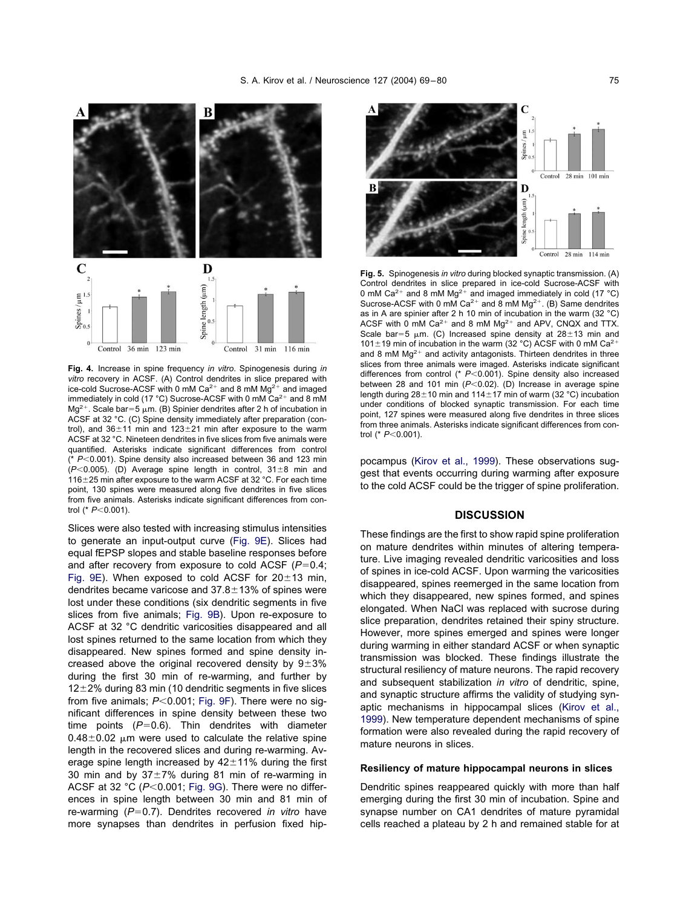<span id="page-6-0"></span>

**Fig. 4.** Increase in spine frequency *in vitro*. Spinogenesis during *in vitro* recovery in ACSF. (A) Control dendrites in slice prepared with ice-cold Sucrose-ACSF with 0 mM Ca<sup>2+</sup> and 8 mM Mg<sup>2+</sup> and imaged immediately in cold (17 °C) Sucrose-ACSF with 0 mM  $Ca^{2+}$  and 8 mM Mg<sup>2+</sup>. Scale bar=5  $\mu$ m. (B) Spinier dendrites after 2 h of incubation in ACSF at 32 °C. (C) Spine density immediately after preparation (control), and  $36\pm11$  min and  $123\pm21$  min after exposure to the warm ACSF at 32 °C. Nineteen dendrites in five slices from five animals were quantified. Asterisks indicate significant differences from control (\* P<0.001). Spine density also increased between 36 and 123 min  $(P<0.005)$ . (D) Average spine length in control,  $31\pm8$  min and 116 $\pm$ 25 min after exposure to the warm ACSF at 32 °C. For each time point, 130 spines were measured along five dendrites in five slices from five animals. Asterisks indicate significant differences from control (\*  $P < 0.001$ ).

Slices were also tested with increasing stimulus intensities to generate an input-output curve [\(Fig. 9E\)](#page-8-0). Slices had equal fEPSP slopes and stable baseline responses before and after recovery from exposure to cold ACSF  $(P=0.4;$ [Fig. 9E\)](#page-8-0). When exposed to cold ACSF for  $20\pm 13$  min, dendrites became varicose and  $37.8 \pm 13\%$  of spines were lost under these conditions (six dendritic segments in five slices from five animals; [Fig. 9B\)](#page-8-0). Upon re-exposure to ACSF at 32 °C dendritic varicosities disappeared and all lost spines returned to the same location from which they disappeared. New spines formed and spine density increased above the original recovered density by  $9\pm3\%$ during the first 30 min of re-warming, and further by  $12\pm2\%$  during 83 min (10 dendritic segments in five slices from five animals;  $P < 0.001$ ; [Fig. 9F\)](#page-8-0). There were no significant differences in spine density between these two time points  $(P=0.6)$ . Thin dendrites with diameter  $0.48\pm0.02$  µm were used to calculate the relative spine length in the recovered slices and during re-warming. Average spine length increased by  $42 \pm 11\%$  during the first 30 min and by  $37\pm7\%$  during 81 min of re-warming in ACSF at 32  $°C$  ( $P<0.001$ ; [Fig. 9G\)](#page-8-0). There were no differences in spine length between 30 min and 81 min of re-warming (P=0.7). Dendrites recovered *in vitro* have more synapses than dendrites in perfusion fixed hip-



**Fig. 5.** Spinogenesis *in vitro* during blocked synaptic transmission. (A) Control dendrites in slice prepared in ice-cold Sucrose-ACSF with 0 mM Ca<sup>2+</sup> and 8 mM Mg<sup>2+</sup> and imaged immediately in cold (17 °C) Sucrose-ACSF with 0 mM  $Ca^{2+}$  and 8 mM Mg<sup>2+</sup>. (B) Same dendrites as in A are spinier after 2 h 10 min of incubation in the warm (32 °C) ACSF with 0 mM Ca<sup>2+</sup> and 8 mM Mg<sup>2+</sup> and APV, CNQX and TTX. Scale bar=5  $\mu$ m. (C) Increased spine density at 28 $\pm$ 13 min and 101 $\pm$ 19 min of incubation in the warm (32 °C) ACSF with 0 mM Ca<sup>2+</sup> and 8 mM  $Mg^{2+}$  and activity antagonists. Thirteen dendrites in three slices from three animals were imaged. Asterisks indicate significant differences from control (\*  $P < 0.001$ ). Spine density also increased between 28 and 101 min (P<0.02). (D) Increase in average spine length during  $28\pm10$  min and  $114\pm17$  min of warm (32 °C) incubation under conditions of blocked synaptic transmission. For each time point, 127 spines were measured along five dendrites in three slices from three animals. Asterisks indicate significant differences from control (\*  $P < 0.001$ ).

pocampus [\(Kirov et al., 1999\)](#page-10-0). These observations suggest that events occurring during warming after exposure to the cold ACSF could be the trigger of spine proliferation.

# **DISCUSSION**

These findings are the first to show rapid spine proliferation on mature dendrites within minutes of altering temperature. Live imaging revealed dendritic varicosities and loss of spines in ice-cold ACSF. Upon warming the varicosities disappeared, spines reemerged in the same location from which they disappeared, new spines formed, and spines elongated. When NaCl was replaced with sucrose during slice preparation, dendrites retained their spiny structure. However, more spines emerged and spines were longer during warming in either standard ACSF or when synaptic transmission was blocked. These findings illustrate the structural resiliency of mature neurons. The rapid recovery and subsequent stabilization *in vitro* of dendritic, spine, and synaptic structure affirms the validity of studying synaptic mechanisms in hippocampal slices [\(Kirov et al.,](#page-10-0) [1999\)](#page-10-0). New temperature dependent mechanisms of spine formation were also revealed during the rapid recovery of mature neurons in slices.

# **Resiliency of mature hippocampal neurons in slices**

Dendritic spines reappeared quickly with more than half emerging during the first 30 min of incubation. Spine and synapse number on CA1 dendrites of mature pyramidal cells reached a plateau by 2 h and remained stable for at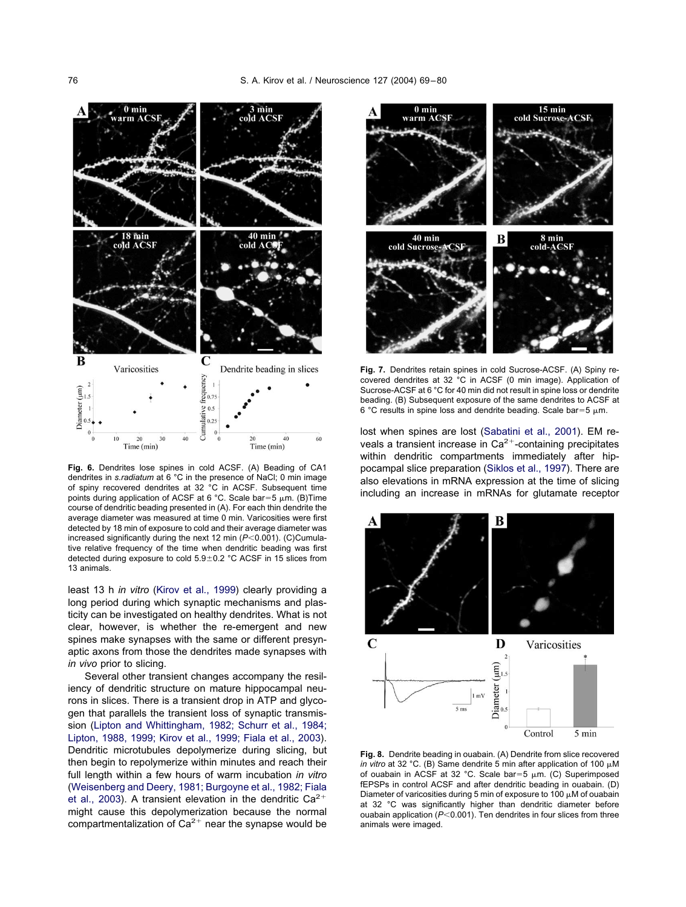<span id="page-7-0"></span>

**Fig. 6.** Dendrites lose spines in cold ACSF. (A) Beading of CA1 dendrites in *s.radiatum* at 6 °C in the presence of NaCl; 0 min image of spiny recovered dendrites at 32 °C in ACSF. Subsequent time points during application of ACSF at 6 °C. Scale bar=5  $\mu$ m. (B)Time course of dendritic beading presented in (A). For each thin dendrite the average diameter was measured at time 0 min. Varicosities were first detected by 18 min of exposure to cold and their average diameter was increased significantly during the next 12 min ( $P < 0.001$ ). (C)Cumulative relative frequency of the time when dendritic beading was first detected during exposure to cold  $5.9\pm0.2$  °C ACSF in 15 slices from 13 animals.

least 13 h *in vitro* [\(Kirov et al., 1999\)](#page-10-0) clearly providing a long period during which synaptic mechanisms and plasticity can be investigated on healthy dendrites. What is not clear, however, is whether the re-emergent and new spines make synapses with the same or different presynaptic axons from those the dendrites made synapses with *in vivo* prior to slicing.

Several other transient changes accompany the resiliency of dendritic structure on mature hippocampal neurons in slices. There is a transient drop in ATP and glycogen that parallels the transient loss of synaptic transmission [\(Lipton and Whittingham, 1982; Schurr et al., 1984;](#page-10-0) [Lipton, 1988, 1999; Kirov et al., 1999; Fiala et al., 2003\)](#page-10-0). Dendritic microtubules depolymerize during slicing, but then begin to repolymerize within minutes and reach their full length within a few hours of warm incubation *in vitro* [\(Weisenberg and Deery, 1981; Burgoyne et al., 1982; Fiala](#page-11-0) [et al., 2003\)](#page-11-0). A transient elevation in the dendritic  $Ca^{2+}$ might cause this depolymerization because the normal compartmentalization of  $Ca^{2+}$  near the synapse would be



**Fig. 7.** Dendrites retain spines in cold Sucrose-ACSF. (A) Spiny recovered dendrites at 32 °C in ACSF (0 min image). Application of Sucrose-ACSF at 6 °C for 40 min did not result in spine loss or dendrite beading. (B) Subsequent exposure of the same dendrites to ACSF at 6 °C results in spine loss and dendrite beading. Scale bar=5  $\mu$ m.

lost when spines are lost [\(Sabatini et al., 2001\)](#page-10-0). EM reveals a transient increase in  $Ca^{2+}$ -containing precipitates within dendritic compartments immediately after hippocampal slice preparation [\(Siklos et al., 1997\)](#page-10-0). There are also elevations in mRNA expression at the time of slicing including an increase in mRNAs for glutamate receptor



**Fig. 8.** Dendrite beading in ouabain. (A) Dendrite from slice recovered *in vitro* at 32 °C. (B) Same dendrite 5 min after application of 100  $\mu$ M of ouabain in ACSF at 32 °C. Scale bar=5  $\mu$ m. (C) Superimposed fEPSPs in control ACSF and after dendritic beading in ouabain. (D) Diameter of varicosities during 5 min of exposure to 100  $\mu$ M of ouabain at 32 °C was significantly higher than dendritic diameter before ouabain application ( $P < 0.001$ ). Ten dendrites in four slices from three animals were imaged.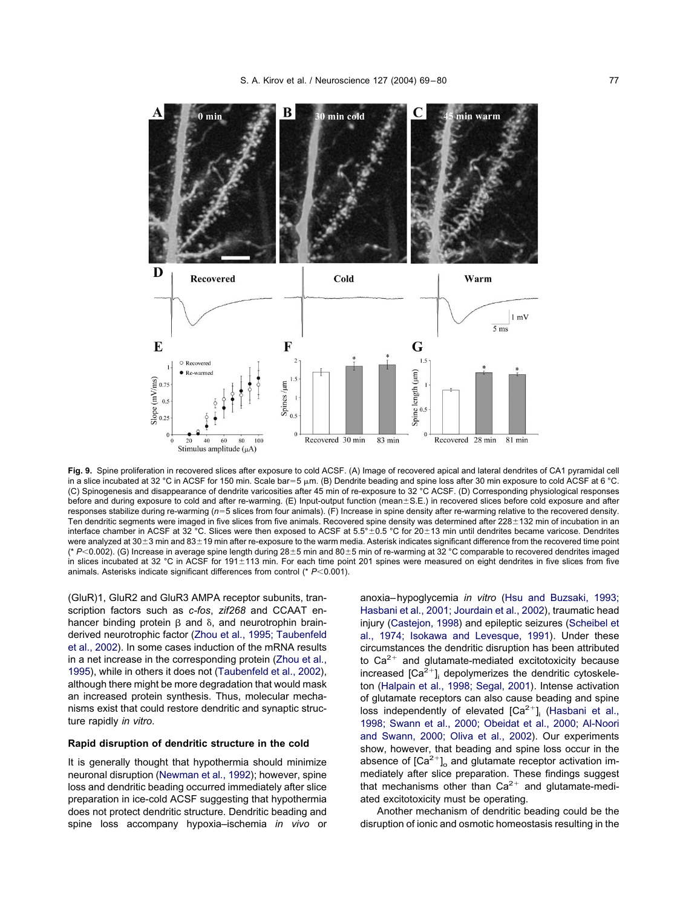<span id="page-8-0"></span>

**Fig. 9.** Spine proliferation in recovered slices after exposure to cold ACSF. (A) Image of recovered apical and lateral dendrites of CA1 pyramidal cell in a slice incubated at 32 °C in ACSF for 150 min. Scale bar=5  $\mu$ m. (B) Dendrite beading and spine loss after 30 min exposure to cold ACSF at 6 °C. (C) Spinogenesis and disappearance of dendrite varicosities after 45 min of re-exposure to 32 °C ACSF. (D) Corresponding physiological responses before and during exposure to cold and after re-warming.  $(E)$  Input-output function (mean $\pm$ S.E.) in recovered slices before cold exposure and after responses stabilize during re-warming ( $n=5$  slices from four animals). (F) Increase in spine density after re-warming relative to the recovered density. Ten dendritic segments were imaged in five slices from five animals. Recovered spine density was determined after 228±132 min of incubation in an interface chamber in ACSF at 32 °C. Slices were then exposed to ACSF at  $5.5^{\circ} \pm 0.5$  °C for 20 $\pm$ 13 min until dendrites became varicose. Dendrites were analyzed at 30±3 min and 83±19 min after re-exposure to the warm media. Asterisk indicates significant difference from the recovered time point (\*  $P < 0.002$ ). (G) Increase in average spine length during 28±5 min and 80±5 min of re-warming at 32 °C comparable to recovered dendrites imaged in slices incubated at 32 °C in ACSF for 191±113 min. For each time point 201 spines were measured on eight dendrites in five slices from five animals. Asterisks indicate significant differences from control (\* *P*<0.001).

(GluR)1, GluR2 and GluR3 AMPA receptor subunits, transcription factors such as *c-fos*, *zif268* and CCAAT enhancer binding protein  $\beta$  and  $\delta$ , and neurotrophin brainderived neurotrophic factor [\(Zhou et al., 1995; Taubenfeld](#page-11-0) [et al., 2002\)](#page-11-0). In some cases induction of the mRNA results in a net increase in the corresponding protein [\(Zhou et al.,](#page-11-0) [1995\)](#page-11-0), while in others it does not [\(Taubenfeld et al., 2002\)](#page-11-0), although there might be more degradation that would mask an increased protein synthesis. Thus, molecular mechanisms exist that could restore dendritic and synaptic structure rapidly *in vitro*.

### **Rapid disruption of dendritic structure in the cold**

It is generally thought that hypothermia should minimize neuronal disruption [\(Newman et al., 1992\)](#page-10-0); however, spine loss and dendritic beading occurred immediately after slice preparation in ice-cold ACSF suggesting that hypothermia does not protect dendritic structure. Dendritic beading and spine loss accompany hypoxia–ischemia *in vivo* or anoxia–hypoglycemia *in vitro* [\(Hsu and Buzsaki, 1993;](#page-10-0) [Hasbani et al., 2001; Jourdain et al., 2002\)](#page-10-0), traumatic head injury [\(Castejon, 1998\)](#page-10-0) and epileptic seizures [\(Scheibel et](#page-10-0) [al., 1974; Isokawa and Levesque, 1991\)](#page-10-0). Under these circumstances the dendritic disruption has been attributed to  $Ca^{2+}$  and glutamate-mediated excitotoxicity because increased  $[Ca^{2+}]$  depolymerizes the dendritic cytoskeleton [\(Halpain et al., 1998; Segal, 2001\)](#page-10-0). Intense activation of glutamate receptors can also cause beading and spine loss independently of elevated  $[Ca^{2+}]$  [\(Hasbani et al.,](#page-10-0) [1998; Swann et al., 2000; Obeidat et al., 2000; Al-Noori](#page-10-0) [and Swann, 2000; Oliva et al., 2002\)](#page-10-0). Our experiments show, however, that beading and spine loss occur in the absence of  $[Ca^{2+}]_{\text{o}}$  and glutamate receptor activation immediately after slice preparation. These findings suggest that mechanisms other than  $Ca^{2+}$  and glutamate-mediated excitotoxicity must be operating.

Another mechanism of dendritic beading could be the disruption of ionic and osmotic homeostasis resulting in the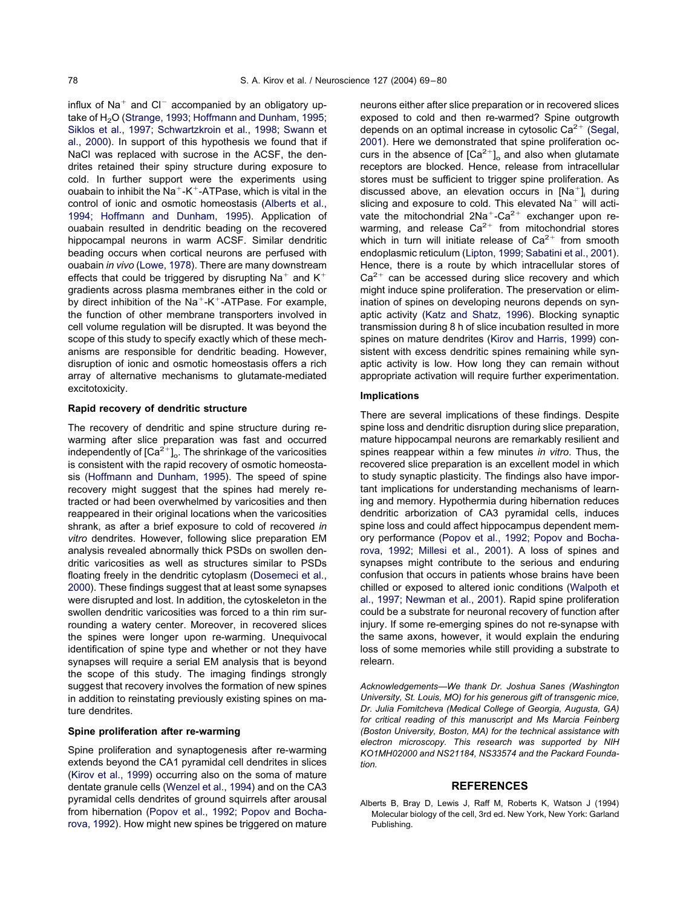influx of  $Na<sup>+</sup>$  and  $Cl<sup>-</sup>$  accompanied by an obligatory up-take of H<sub>2</sub>O [\(Strange, 1993; Hoffmann and Dunham, 1995;](#page-11-0) [Siklos et al., 1997; Schwartzkroin et al., 1998; Swann et](#page-11-0) [al., 2000\)](#page-11-0). In support of this hypothesis we found that if NaCl was replaced with sucrose in the ACSF, the dendrites retained their spiny structure during exposure to cold. In further support were the experiments using ouabain to inhibit the Na<sup>+</sup>-K<sup>+</sup>-ATPase, which is vital in the control of ionic and osmotic homeostasis (Alberts et al., 1994; Hoffmann and Dunham, 1995). Application of ouabain resulted in dendritic beading on the recovered hippocampal neurons in warm ACSF. Similar dendritic beading occurs when cortical neurons are perfused with ouabain *in vivo* [\(Lowe, 1978\)](#page-10-0). There are many downstream effects that could be triggered by disrupting Na<sup>+</sup> and  $K^+$ gradients across plasma membranes either in the cold or by direct inhibition of the  $Na^+$ -K<sup>+</sup>-ATPase. For example, the function of other membrane transporters involved in cell volume regulation will be disrupted. It was beyond the scope of this study to specify exactly which of these mechanisms are responsible for dendritic beading. However, disruption of ionic and osmotic homeostasis offers a rich array of alternative mechanisms to glutamate-mediated excitotoxicity.

# **Rapid recovery of dendritic structure**

The recovery of dendritic and spine structure during rewarming after slice preparation was fast and occurred independently of  $[Ca^{2+}]_o$ . The shrinkage of the varicosities is consistent with the rapid recovery of osmotic homeostasis [\(Hoffmann and Dunham, 1995\)](#page-10-0). The speed of spine recovery might suggest that the spines had merely retracted or had been overwhelmed by varicosities and then reappeared in their original locations when the varicosities shrank, as after a brief exposure to cold of recovered *in vitro* dendrites. However, following slice preparation EM analysis revealed abnormally thick PSDs on swollen dendritic varicosities as well as structures similar to PSDs floating freely in the dendritic cytoplasm [\(Dosemeci et al.,](#page-10-0) [2000\)](#page-10-0). These findings suggest that at least some synapses were disrupted and lost. In addition, the cytoskeleton in the swollen dendritic varicosities was forced to a thin rim surrounding a watery center. Moreover, in recovered slices the spines were longer upon re-warming. Unequivocal identification of spine type and whether or not they have synapses will require a serial EM analysis that is beyond the scope of this study. The imaging findings strongly suggest that recovery involves the formation of new spines in addition to reinstating previously existing spines on mature dendrites.

# **Spine proliferation after re-warming**

Spine proliferation and synaptogenesis after re-warming extends beyond the CA1 pyramidal cell dendrites in slices [\(Kirov et al., 1999\)](#page-10-0) occurring also on the soma of mature dentate granule cells [\(Wenzel et al., 1994\)](#page-11-0) and on the CA3 pyramidal cells dendrites of ground squirrels after arousal from hibernation [\(Popov et al., 1992; Popov and Bocha](#page-10-0)[rova, 1992\)](#page-10-0). How might new spines be triggered on mature

neurons either after slice preparation or in recovered slices exposed to cold and then re-warmed? Spine outgrowth depends on an optimal increase in cytosolic  $Ca^{2+}$  [\(Segal,](#page-10-0) [2001\)](#page-10-0). Here we demonstrated that spine proliferation occurs in the absence of  $[Ca^{2+}]_o$  and also when glutamate receptors are blocked. Hence, release from intracellular stores must be sufficient to trigger spine proliferation. As discussed above, an elevation occurs in  $[Na<sup>+</sup>]$ , during slicing and exposure to cold. This elevated  $Na<sup>+</sup>$  will activate the mitochondrial  $2Na^{+}-Ca^{2+}$  exchanger upon rewarming, and release  $Ca^{2+}$  from mitochondrial stores which in turn will initiate release of  $Ca^{2+}$  from smooth endoplasmic reticulum [\(Lipton, 1999; Sabatini et al., 2001\)](#page-10-0). Hence, there is a route by which intracellular stores of  $Ca<sup>2+</sup>$  can be accessed during slice recovery and which might induce spine proliferation. The preservation or elimination of spines on developing neurons depends on synaptic activity [\(Katz and Shatz, 1996\)](#page-10-0). Blocking synaptic transmission during 8 h of slice incubation resulted in more spines on mature dendrites [\(Kirov and Harris, 1999\)](#page-10-0) consistent with excess dendritic spines remaining while synaptic activity is low. How long they can remain without appropriate activation will require further experimentation.

# **Implications**

There are several implications of these findings. Despite spine loss and dendritic disruption during slice preparation, mature hippocampal neurons are remarkably resilient and spines reappear within a few minutes *in vitro*. Thus, the recovered slice preparation is an excellent model in which to study synaptic plasticity. The findings also have important implications for understanding mechanisms of learning and memory. Hypothermia during hibernation reduces dendritic arborization of CA3 pyramidal cells, induces spine loss and could affect hippocampus dependent memory performance [\(Popov et al., 1992; Popov and Bocha](#page-10-0)[rova, 1992; Millesi et al., 2001\)](#page-10-0). A loss of spines and synapses might contribute to the serious and enduring confusion that occurs in patients whose brains have been chilled or exposed to altered ionic conditions [\(Walpoth et](#page-11-0) [al., 1997; Newman et al., 2001\)](#page-11-0). Rapid spine proliferation could be a substrate for neuronal recovery of function after injury. If some re-emerging spines do not re-synapse with the same axons, however, it would explain the enduring loss of some memories while still providing a substrate to relearn.

*Acknowledgements—We thank Dr. Joshua Sanes (Washington University, St. Louis, MO) for his generous gift of transgenic mice, Dr. Julia Fomitcheva (Medical College of Georgia, Augusta, GA) for critical reading of this manuscript and Ms Marcia Feinberg (Boston University, Boston, MA) for the technical assistance with electron microscopy. This research was supported by NIH KO1MH02000 and NS21184, NS33574 and the Packard Foundation.*

### **REFERENCES**

Alberts B, Bray D, Lewis J, Raff M, Roberts K, Watson J (1994) Molecular biology of the cell, 3rd ed. New York, New York: Garland Publishing.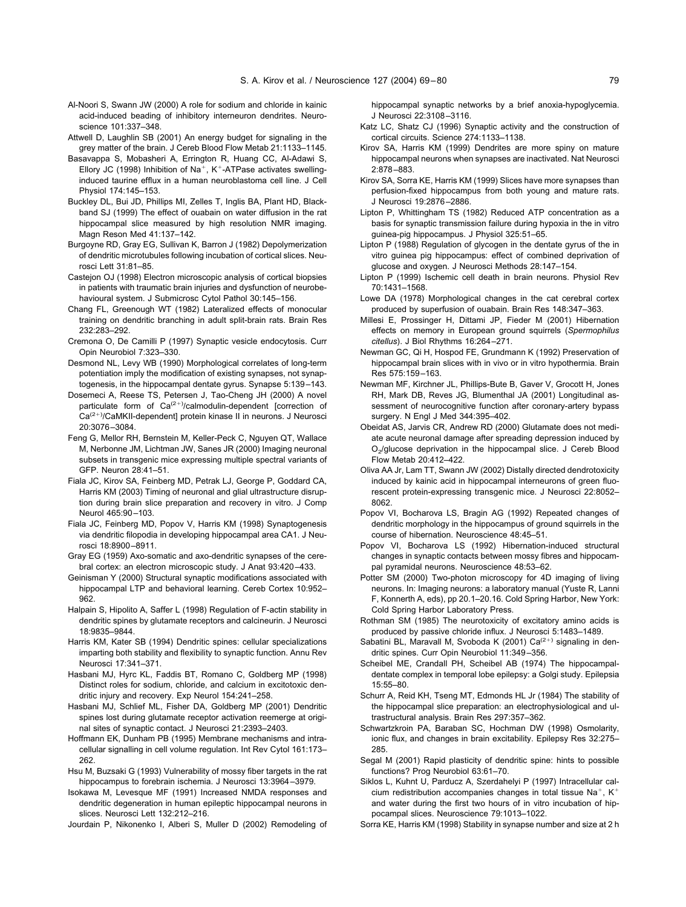- <span id="page-10-0"></span>Al-Noori S, Swann JW (2000) A role for sodium and chloride in kainic acid-induced beading of inhibitory interneuron dendrites. Neuroscience 101:337–348.
- Attwell D, Laughlin SB (2001) An energy budget for signaling in the grey matter of the brain. J Cereb Blood Flow Metab 21:1133–1145.
- Basavappa S, Mobasheri A, Errington R, Huang CC, Al-Adawi S, Ellory JC (1998) Inhibition of Na<sup>+</sup>, K<sup>+</sup>-ATPase activates swellinginduced taurine efflux in a human neuroblastoma cell line. J Cell Physiol 174:145–153.
- Buckley DL, Bui JD, Phillips MI, Zelles T, Inglis BA, Plant HD, Blackband SJ (1999) The effect of ouabain on water diffusion in the rat hippocampal slice measured by high resolution NMR imaging. Magn Reson Med 41:137–142.
- Burgoyne RD, Gray EG, Sullivan K, Barron J (1982) Depolymerization of dendritic microtubules following incubation of cortical slices. Neurosci Lett 31:81–85.
- Castejon OJ (1998) Electron microscopic analysis of cortical biopsies in patients with traumatic brain injuries and dysfunction of neurobehavioural system. J Submicrosc Cytol Pathol 30:145–156.
- Chang FL, Greenough WT (1982) Lateralized effects of monocular training on dendritic branching in adult split-brain rats. Brain Res 232:283–292.
- Cremona O, De Camilli P (1997) Synaptic vesicle endocytosis. Curr Opin Neurobiol 7:323–330.
- Desmond NL, Levy WB (1990) Morphological correlates of long-term potentiation imply the modification of existing synapses, not synaptogenesis, in the hippocampal dentate gyrus. Synapse 5:139–143.
- Dosemeci A, Reese TS, Petersen J, Tao-Cheng JH (2000) A novel particulate form of Ca<sup>(2+)</sup>/calmodulin-dependent [correction of Ca<sup>(2+)</sup>/CaMKII-dependent] protein kinase II in neurons. J Neurosci 20:3076–3084.
- Feng G, Mellor RH, Bernstein M, Keller-Peck C, Nguyen QT, Wallace M, Nerbonne JM, Lichtman JW, Sanes JR (2000) Imaging neuronal subsets in transgenic mice expressing multiple spectral variants of GFP. Neuron 28:41–51.
- Fiala JC, Kirov SA, Feinberg MD, Petrak LJ, George P, Goddard CA, Harris KM (2003) Timing of neuronal and glial ultrastructure disruption during brain slice preparation and recovery in vitro. J Comp Neurol 465:90–103.
- Fiala JC, Feinberg MD, Popov V, Harris KM (1998) Synaptogenesis via dendritic filopodia in developing hippocampal area CA1. J Neurosci 18:8900–8911.
- Gray EG (1959) Axo-somatic and axo-dendritic synapses of the cerebral cortex: an electron microscopic study. J Anat 93:420–433.
- Geinisman Y (2000) Structural synaptic modifications associated with hippocampal LTP and behavioral learning. Cereb Cortex 10:952– 962.
- Halpain S, Hipolito A, Saffer L (1998) Regulation of F-actin stability in dendritic spines by glutamate receptors and calcineurin. J Neurosci 18:9835–9844.
- Harris KM, Kater SB (1994) Dendritic spines: cellular specializations imparting both stability and flexibility to synaptic function. Annu Rev Neurosci 17:341–371.
- Hasbani MJ, Hyrc KL, Faddis BT, Romano C, Goldberg MP (1998) Distinct roles for sodium, chloride, and calcium in excitotoxic dendritic injury and recovery. Exp Neurol 154:241–258.
- Hasbani MJ, Schlief ML, Fisher DA, Goldberg MP (2001) Dendritic spines lost during glutamate receptor activation reemerge at original sites of synaptic contact. J Neurosci 21:2393–2403.
- Hoffmann EK, Dunham PB (1995) Membrane mechanisms and intracellular signalling in cell volume regulation. Int Rev Cytol 161:173– 262.
- Hsu M, Buzsaki G (1993) Vulnerability of mossy fiber targets in the rat hippocampus to forebrain ischemia. J Neurosci 13:3964–3979.
- Isokawa M, Levesque MF (1991) Increased NMDA responses and dendritic degeneration in human epileptic hippocampal neurons in slices. Neurosci Lett 132:212–216.
- Jourdain P, Nikonenko I, Alberi S, Muller D (2002) Remodeling of

hippocampal synaptic networks by a brief anoxia-hypoglycemia. J Neurosci 22:3108–3116.

- Katz LC, Shatz CJ (1996) Synaptic activity and the construction of cortical circuits. Science 274:1133–1138.
- Kirov SA, Harris KM (1999) Dendrites are more spiny on mature hippocampal neurons when synapses are inactivated. Nat Neurosci 2:878–883.
- Kirov SA, Sorra KE, Harris KM (1999) Slices have more synapses than perfusion-fixed hippocampus from both young and mature rats. J Neurosci 19:2876–2886.
- Lipton P, Whittingham TS (1982) Reduced ATP concentration as a basis for synaptic transmission failure during hypoxia in the in vitro guinea-pig hippocampus. J Physiol 325:51–65.
- Lipton P (1988) Regulation of glycogen in the dentate gyrus of the in vitro guinea pig hippocampus: effect of combined deprivation of glucose and oxygen. J Neurosci Methods 28:147–154.
- Lipton P (1999) Ischemic cell death in brain neurons. Physiol Rev 70:1431–1568.
- Lowe DA (1978) Morphological changes in the cat cerebral cortex produced by superfusion of ouabain. Brain Res 148:347–363.
- Millesi E, Prossinger H, Dittami JP, Fieder M (2001) Hibernation effects on memory in European ground squirrels (*Spermophilus citellus*). J Biol Rhythms 16:264–271.
- Newman GC, Qi H, Hospod FE, Grundmann K (1992) Preservation of hippocampal brain slices with in vivo or in vitro hypothermia. Brain Res 575:159–163.
- Newman MF, Kirchner JL, Phillips-Bute B, Gaver V, Grocott H, Jones RH, Mark DB, Reves JG, Blumenthal JA (2001) Longitudinal assessment of neurocognitive function after coronary-artery bypass surgery. N Engl J Med 344:395–402.
- Obeidat AS, Jarvis CR, Andrew RD (2000) Glutamate does not mediate acute neuronal damage after spreading depression induced by O<sub>2</sub>/glucose deprivation in the hippocampal slice. J Cereb Blood Flow Metab 20:412–422.
- Oliva AA Jr, Lam TT, Swann JW (2002) Distally directed dendrotoxicity induced by kainic acid in hippocampal interneurons of green fluorescent protein-expressing transgenic mice. J Neurosci 22:8052– 8062.
- Popov VI, Bocharova LS, Bragin AG (1992) Repeated changes of dendritic morphology in the hippocampus of ground squirrels in the course of hibernation. Neuroscience 48:45–51.
- Popov VI, Bocharova LS (1992) Hibernation-induced structural changes in synaptic contacts between mossy fibres and hippocampal pyramidal neurons. Neuroscience 48:53–62.
- Potter SM (2000) Two-photon microscopy for 4D imaging of living neurons. In: Imaging neurons: a laboratory manual (Yuste R, Lanni F, Konnerth A, eds), pp 20.1–20.16. Cold Spring Harbor, New York: Cold Spring Harbor Laboratory Press.
- Rothman SM (1985) The neurotoxicity of excitatory amino acids is produced by passive chloride influx. J Neurosci 5:1483–1489.
- Sabatini BL, Maravall M, Svoboda K (2001) Ca $(2+)$  signaling in dendritic spines. Curr Opin Neurobiol 11:349–356.
- Scheibel ME, Crandall PH, Scheibel AB (1974) The hippocampaldentate complex in temporal lobe epilepsy: a Golgi study. Epilepsia 15:55–80.
- Schurr A, Reid KH, Tseng MT, Edmonds HL Jr (1984) The stability of the hippocampal slice preparation: an electrophysiological and ultrastructural analysis. Brain Res 297:357–362.
- Schwartzkroin PA, Baraban SC, Hochman DW (1998) Osmolarity, ionic flux, and changes in brain excitability. Epilepsy Res 32:275– 285.
- Segal M (2001) Rapid plasticity of dendritic spine: hints to possible functions? Prog Neurobiol 63:61–70.
- Siklos L, Kuhnt U, Parducz A, Szerdahelyi P (1997) Intracellular calcium redistribution accompanies changes in total tissue Na<sup>+</sup>, K<sup>+</sup> and water during the first two hours of in vitro incubation of hippocampal slices. Neuroscience 79:1013–1022.
- Sorra KE, Harris KM (1998) Stability in synapse number and size at 2 h